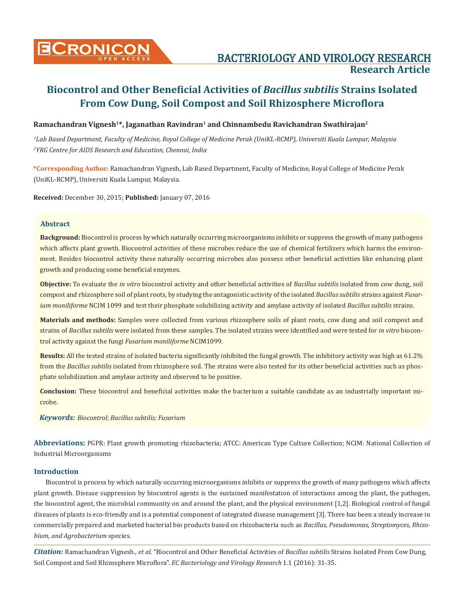

# BACTERIOLOGY AND VIROLOGY RESEARCH **Research Article**

# **Biocontrol and Other Beneficial Activities of** *Bacillus subtilis* **Strains Isolated From Cow Dung, Soil Compost and Soil Rhizosphere Microflora**

# **Ramachandran Vignesh1\*, Jaganathan Ravindran1 and Chinnambedu Ravichandran Swathirajan2**

*1 Lab Based Department, Faculty of Medicine, Royal College of Medicine Perak (UniKL-RCMP), Universiti Kuala Lumpur, Malaysia 2 YRG Centre for AIDS Research and Education, Chennai, India*

**\*Corresponding Author:** Ramachandran Vignesh, Lab Based Department, Faculty of Medicine, Royal College of Medicine Perak (UniKL-RCMP), Universiti Kuala Lumpur, Malaysia.

**Received:** December 30, 2015; **Published:** January 07, 2016

### **Abstract**

**Background:** Biocontrol is process by which naturally occurring microorganisms inhibits or suppress the growth of many pathogens which affects plant growth. Biocontrol activities of these microbes reduce the use of chemical fertilizers which harms the environment. Besides biocontrol activity these naturally occurring microbes also possess other beneficial activities like enhancing plant growth and producing some beneficial enzymes.

**Objective:** To evaluate the *in vitro* biocontrol activity and other beneficial activities of *Bacillus subtilis* isolated from cow dung, soil compost and rhizosphere soil of plant roots, by studying the antagonistic activity of the isolated *Bacillus subtilis* strains against *Fusarium moniliforme* NCIM 1099 and test their phosphate solubilizing activity and amylase activity of isolated *Bacillus subtilis* strains.

**Materials and methods:** Samples were collected from various rhizosphere soils of plant roots, cow dung and soil compost and strains of *Bacillus subtilis* were isolated from these samples. The isolated strains were identified and were tested for *in vitro* biocontrol activity against the fungi *Fusarium moniliforme* NCIM1099.

**Results:** All the tested strains of isolated bacteria significantly inhibited the fungal growth. The inhibitory activity was high as 61.2% from the *Bacillus subtilis* isolated from rhizosphere soil. The strains were also tested for its other beneficial activities such as phosphate solubilization and amylase activity and observed to be positive.

**Conclusion:** These biocontrol and beneficial activities make the bacterium a suitable candidate as an industrially important microbe.

*Keywords: Biocontrol; Bacillus subtilis; Fusarium*

**Abbreviations:** PGPR: Plant growth promoting rhizobacteria; ATCC: American Type Culture Collection; NCIM: National Collection of Industrial Microorganisms

# **Introduction**

Biocontrol is process by which naturally occurring microorganisms inhibits or suppress the growth of many pathogens which affects plant growth. Disease suppression by biocontrol agents is the sustained manifestation of interactions among the plant, the pathogen, the biocontrol agent, the microbial community on and around the plant, and the physical environment [1,2]. Biological control of fungal diseases of plants is eco-friendly and is a potential component of integrated disease management [3]. There has been a steady increase in commercially prepared and marketed bacterial bio products based on rhizobacteria such as *Bacillus, Pseudomonas, Streptomyces, Rhizobium, and Agrobacterium* species.

*Citation:* Ramachandran Vignesh., *et al*. "Biocontrol and Other Beneficial Activities of *Bacillus subtilis* Strains Isolated From Cow Dung, Soil Compost and Soil Rhizosphere Microflora". *EC Bacteriology and Virology Research* 1.1 (2016): 31-35.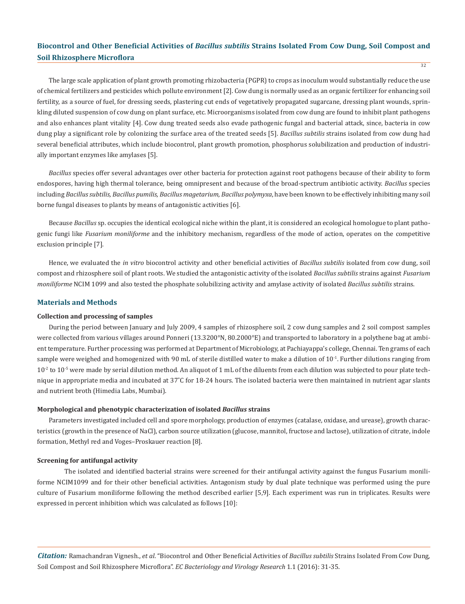The large scale application of plant growth promoting rhizobacteria (PGPR) to crops as inoculum would substantially reduce the use of chemical fertilizers and pesticides which pollute environment [2]. Cow dung is normally used as an organic fertilizer for enhancing soil fertility, as a source of fuel, for dressing seeds, plastering cut ends of vegetatively propagated sugarcane, dressing plant wounds, sprinkling diluted suspension of cow dung on plant surface, etc. Microorganisms isolated from cow dung are found to inhibit plant pathogens and also enhances plant vitality [4]. Cow dung treated seeds also evade pathogenic fungal and bacterial attack, since, bacteria in cow dung play a significant role by colonizing the surface area of the treated seeds [5]. *Bacillus subtilis* strains isolated from cow dung had several beneficial attributes, which include biocontrol, plant growth promotion, phosphorus solubilization and production of industrially important enzymes like amylases [5].

*Bacillus* species offer several advantages over other bacteria for protection against root pathogens because of their ability to form endospores, having high thermal tolerance, being omnipresent and because of the broad-spectrum antibiotic activity. *Bacillus* species including *Bacillus subtilis, Bacillus pumilis, Bacillus magetarium, Bacillus polymyxa*, have been known to be effectively inhibiting many soil borne fungal diseases to plants by means of antagonistic activities [6].

Because *Bacillus* sp. occupies the identical ecological niche within the plant, it is considered an ecological homologue to plant pathogenic fungi like *Fusarium moniliforme* and the inhibitory mechanism, regardless of the mode of action, operates on the competitive exclusion principle [7].

Hence, we evaluated the *in vitro* biocontrol activity and other beneficial activities of *Bacillus subtilis* isolated from cow dung, soil compost and rhizosphere soil of plant roots. We studied the antagonistic activity of the isolated *Bacillus subtilis* strains against *Fusarium moniliforme* NCIM 1099 and also tested the phosphate solubilizing activity and amylase activity of isolated *Bacillus subtilis* strains.

#### **Materials and Methods**

#### **Collection and processing of samples**

During the period between January and July 2009, 4 samples of rhizosphere soil, 2 cow dung samples and 2 soil compost samples were collected from various villages around Ponneri (13.3200°N, 80.2000°E) and transported to laboratory in a polythene bag at ambient temperature. Further processing was performed at Department of Microbiology, at Pachiayappa's college, Chennai. Ten grams of each sample were weighed and homogenized with 90 mL of sterile distilled water to make a dilution of  $10^{-1}$ . Further dilutions ranging from  $10<sup>-2</sup>$  to  $10<sup>-5</sup>$  were made by serial dilution method. An aliquot of 1 mL of the diluents from each dilution was subjected to pour plate technique in appropriate media and incubated at 37˚C for 18-24 hours. The isolated bacteria were then maintained in nutrient agar slants and nutrient broth (Himedia Labs, Mumbai).

#### **Morphological and phenotypic characterization of isolated** *Bacillus* **strains**

Parameters investigated included cell and spore morphology, production of enzymes (catalase, oxidase, and urease), growth characteristics (growth in the presence of NaCl), carbon source utilization (glucose, mannitol, fructose and lactose), utilization of citrate, indole formation, Methyl red and Voges–Proskauer reaction [8].

#### **Screening for antifungal activity**

The isolated and identified bacterial strains were screened for their antifungal activity against the fungus Fusarium moniliforme NCIM1099 and for their other beneficial activities. Antagonism study by dual plate technique was performed using the pure culture of Fusarium moniliforme following the method described earlier [5,9]. Each experiment was run in triplicates. Results were expressed in percent inhibition which was calculated as follows [10]:

*Citation:* Ramachandran Vignesh., *et al*. "Biocontrol and Other Beneficial Activities of *Bacillus subtilis* Strains Isolated From Cow Dung, Soil Compost and Soil Rhizosphere Microflora". *EC Bacteriology and Virology Research* 1.1 (2016): 31-35.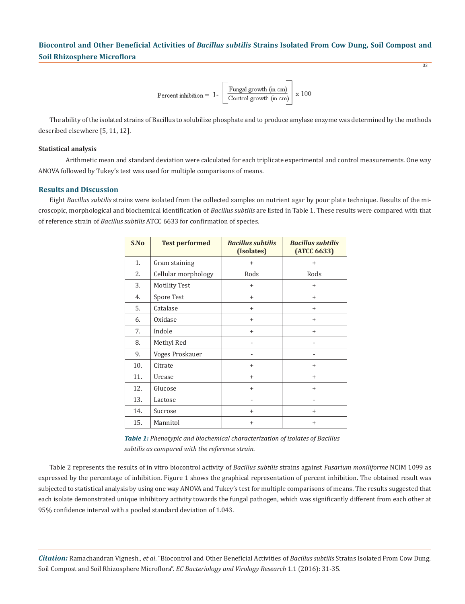$$
Percent inhibition = 1 - \left[ \frac{Fungal growth (in cm)}{Control growth (in cm)} \right] \times 100
$$

33

The ability of the isolated strains of Bacillus to solubilize phosphate and to produce amylase enzyme was determined by the methods described elsewhere [5, 11, 12].

# **Statistical analysis**

Arithmetic mean and standard deviation were calculated for each triplicate experimental and control measurements. One way ANOVA followed by Tukey's test was used for multiple comparisons of means.

#### **Results and Discussion**

Eight *Bacillus subtilis* strains were isolated from the collected samples on nutrient agar by pour plate technique. Results of the microscopic, morphological and biochemical identification of *Bacillus subtilis* are listed in Table 1. These results were compared with that of reference strain of *Bacillus subtilis* ATCC 6633 for confirmation of species.

| S.No | <b>Test performed</b> | <b>Bacillus subtilis</b><br>(Isolates) | <b>Bacillus subtilis</b><br>(ATCC 6633) |  |  |
|------|-----------------------|----------------------------------------|-----------------------------------------|--|--|
| 1.   | Gram staining         | $\ddot{}$                              | $^{+}$                                  |  |  |
| 2.   | Cellular morphology   | Rods                                   | Rods                                    |  |  |
| 3.   | <b>Motility Test</b>  | $\ddot{}$                              | $^{+}$                                  |  |  |
| 4.   | Spore Test            | $^{+}$                                 | $\ddot{}$                               |  |  |
| 5.   | Catalase              | $\ddot{}$                              | $\ddot{}$                               |  |  |
| 6.   | Oxidase               | $\ddot{}$                              | $+$                                     |  |  |
| 7.   | Indole                | $+$                                    | $^{+}$                                  |  |  |
| 8.   | Methyl Red            |                                        |                                         |  |  |
| 9.   | Voges Proskauer       |                                        |                                         |  |  |
| 10.  | Citrate               | $\ddot{}$                              | $^{+}$                                  |  |  |
| 11.  | Urease                | $\ddot{}$                              | $^{+}$                                  |  |  |
| 12.  | Glucose               | $\ddot{}$                              | $^{+}$                                  |  |  |
| 13.  | Lactose               |                                        |                                         |  |  |
| 14.  | Sucrose               | $\ddot{}$                              | $^{+}$                                  |  |  |
| 15.  | Mannitol              | $\ddot{}$                              | $^{+}$                                  |  |  |

| <b>Table 1:</b> Phenotypic and biochemical characterization of isolates of Bacillus |
|-------------------------------------------------------------------------------------|
| subtilis as compared with the reference strain.                                     |

Table 2 represents the results of in vitro biocontrol activity of *Bacillus subtilis* strains against *Fusarium moniliforme* NCIM 1099 as expressed by the percentage of inhibition. Figure 1 shows the graphical representation of percent inhibition. The obtained result was subjected to statistical analysis by using one way ANOVA and Tukey's test for multiple comparisons of means. The results suggested that each isolate demonstrated unique inhibitory activity towards the fungal pathogen, which was significantly different from each other at 95% confidence interval with a pooled standard deviation of 1.043.

*Citation:* Ramachandran Vignesh., *et al*. "Biocontrol and Other Beneficial Activities of *Bacillus subtilis* Strains Isolated From Cow Dung, Soil Compost and Soil Rhizosphere Microflora". *EC Bacteriology and Virology Research* 1.1 (2016): 31-35.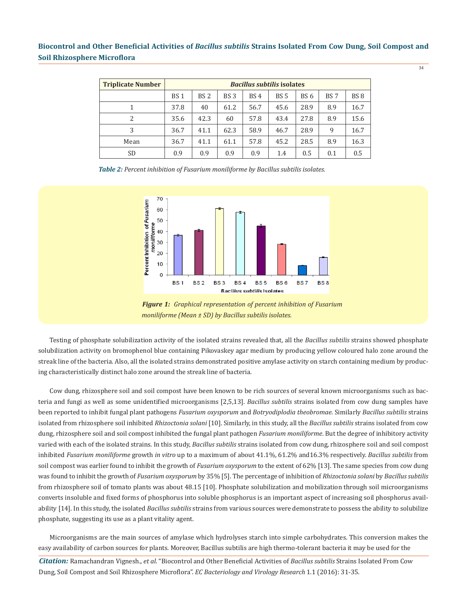| <b>Triplicate Number</b> | <b>Bacillus subtilis isolates</b> |                 |                 |                 |             |                 |                 |                 |  |
|--------------------------|-----------------------------------|-----------------|-----------------|-----------------|-------------|-----------------|-----------------|-----------------|--|
|                          | BS <sub>1</sub>                   | BS <sub>2</sub> | BS <sub>3</sub> | BS <sub>4</sub> | <b>BS 5</b> | BS <sub>6</sub> | BS <sub>7</sub> | BS <sub>8</sub> |  |
|                          | 37.8                              | 40              | 61.2            | 56.7            | 45.6        | 28.9            | 8.9             | 16.7            |  |
| 2                        | 35.6                              | 42.3            | 60              | 57.8            | 43.4        | 27.8            | 8.9             | 15.6            |  |
| 3                        | 36.7                              | 41.1            | 62.3            | 58.9            | 46.7        | 28.9            | 9               | 16.7            |  |
| Mean                     | 36.7                              | 41.1            | 61.1            | 57.8            | 45.2        | 28.5            | 8.9             | 16.3            |  |
| <b>SD</b>                | 0.9                               | 0.9             | 0.9             | 0.9             | 1.4         | 0.5             | 0.1             | 0.5             |  |

*Table 2: Percent inhibition of Fusarium moniliforme by Bacillus subtilis isolates.*



*Figure 1: Graphical representation of percent inhibition of Fusarium moniliforme (Mean ± SD) by Bacillus subtilis isolates.*

Testing of phosphate solubilization activity of the isolated strains revealed that, all the *Bacillus subtilis* strains showed phosphate solubilization activity on bromophenol blue containing Pikovaskey agar medium by producing yellow coloured halo zone around the streak line of the bacteria. Also, all the isolated strains demonstrated positive amylase activity on starch containing medium by producing characteristically distinct halo zone around the streak line of bacteria.

Cow dung, rhizosphere soil and soil compost have been known to be rich sources of several known microorganisms such as bacteria and fungi as well as some unidentified microorganisms [2,5,13]. *Bacillus subtilis* strains isolated from cow dung samples have been reported to inhibit fungal plant pathogens *Fusarium oxysporum* and *Botryodiplodia theobromae*. Similarly *Bacillus subtilis* strains isolated from rhizosphere soil inhibited *Rhizoctonia solani* [10]. Similarly, in this study, all the *Bacillus subtilis* strains isolated from cow dung, rhizosphere soil and soil compost inhibited the fungal plant pathogen *Fusarium moniliforme*. But the degree of inhibitory activity varied with each of the isolated strains. In this study, *Bacillus subtilis* strains isolated from cow dung, rhizosphere soil and soil compost inhibited *Fusarium moniliforme* growth *in vitro* up to a maximum of about 41.1%, 61.2% and16.3% respectively. *Bacillus subtilis* from soil compost was earlier found to inhibit the growth of *Fusarium oxysporum* to the extent of 62% [13]. The same species from cow dung was found to inhibit the growth of *Fusarium oxysporum* by 35% [5]. The percentage of inhibition of *Rhizoctonia solani* by *Bacillus subtilis* from rhizosphere soil of tomato plants was about 48.15 [10]. Phosphate solubilization and mobilization through soil microorganisms converts insoluble and fixed forms of phosphorus into soluble phosphorus is an important aspect of increasing soil phosphorus availability [14]. In this study, the isolated *Bacillus subtilis* strains from various sources were demonstrate to possess the ability to solubilize phosphate, suggesting its use as a plant vitality agent.

Microorganisms are the main sources of amylase which hydrolyses starch into simple carbohydrates. This conversion makes the easy availability of carbon sources for plants. Moreover, Bacillus subtilis are high thermo-tolerant bacteria it may be used for the

*Citation:* Ramachandran Vignesh., *et al*. "Biocontrol and Other Beneficial Activities of *Bacillus subtilis* Strains Isolated From Cow Dung, Soil Compost and Soil Rhizosphere Microflora". *EC Bacteriology and Virology Research* 1.1 (2016): 31-35.

34